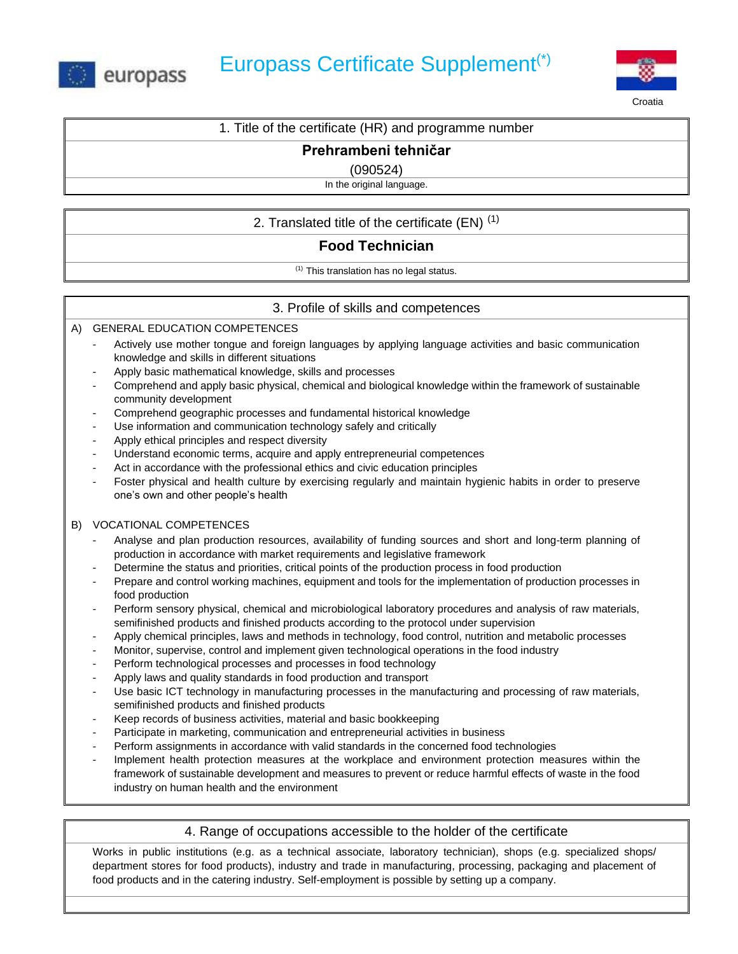



Croatia

#### 1. Title of the certificate (HR) and programme number

#### **Prehrambeni tehničar**

(090524)

In the original language.

## 2. Translated title of the certificate  $(EN)^{(1)}$

# **Food Technician**

(1) This translation has no legal status.

### 3. Profile of skills and competences

A) GENERAL EDUCATION COMPETENCES

- Actively use mother tongue and foreign languages by applying language activities and basic communication knowledge and skills in different situations
- Apply basic mathematical knowledge, skills and processes
- Comprehend and apply basic physical, chemical and biological knowledge within the framework of sustainable community development
- Comprehend geographic processes and fundamental historical knowledge
- Use information and communication technology safely and critically
- Apply ethical principles and respect diversity
- Understand economic terms, acquire and apply entrepreneurial competences
- Act in accordance with the professional ethics and civic education principles
- Foster physical and health culture by exercising regularly and maintain hygienic habits in order to preserve one's own and other people's health

#### B) VOCATIONAL COMPETENCES

- Analyse and plan production resources, availability of funding sources and short and long-term planning of production in accordance with market requirements and legislative framework
- Determine the status and priorities, critical points of the production process in food production
- Prepare and control working machines, equipment and tools for the implementation of production processes in food production
- Perform sensory physical, chemical and microbiological laboratory procedures and analysis of raw materials, semifinished products and finished products according to the protocol under supervision
- Apply chemical principles, laws and methods in technology, food control, nutrition and metabolic processes
- Monitor, supervise, control and implement given technological operations in the food industry
- Perform technological processes and processes in food technology
- Apply laws and quality standards in food production and transport
- Use basic ICT technology in manufacturing processes in the manufacturing and processing of raw materials, semifinished products and finished products
- Keep records of business activities, material and basic bookkeeping
- Participate in marketing, communication and entrepreneurial activities in business
- Perform assignments in accordance with valid standards in the concerned food technologies
- Implement health protection measures at the workplace and environment protection measures within the framework of sustainable development and measures to prevent or reduce harmful effects of waste in the food industry on human health and the environment

#### 4. Range of occupations accessible to the holder of the certificate

Works in public institutions (e.g. as a technical associate, laboratory technician), shops (e.g. specialized shops/ department stores for food products), industry and trade in manufacturing, processing, packaging and placement of food products and in the catering industry. Self-employment is possible by setting up a company.